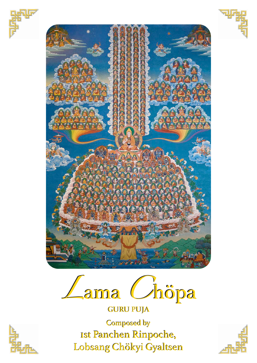







# **GURU PUJA**



Composed by Composed by 1st Panchen Rinpoche, 1st Panchen Rinpoche, Lobsang Chökyi Gyaltsen Lobsang Chökyi Gyaltsen

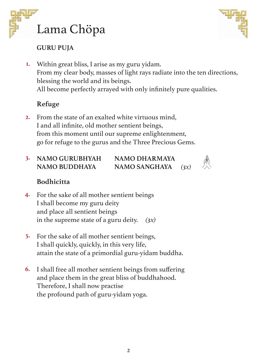



## **GURU PUJA**

**1.** Within great bliss, I arise as my guru yidam. From my clear body, masses of light rays radiate into the ten directions, blessing the world and its beings. All become perfectly arrayed with only infinitely pure qualities.

## **Refuge**

- **2.** From the state of an exalted white virtuous mind, I and all infinite, old mother sentient beings, from this moment until our supreme enlightenment, go for refuge to the gurus and the Three Precious Gems.
- **3. NAMO GURUBHYAH NAMO DHARMAYA NAMO BUDDHAYA NAMO SANGHAYA** *(3x)*



#### **Bodhicitta**

- **4.** For the sake of all mother sentient beings I shall become my guru deity and place all sentient beings in the supreme state of a guru deity. *(3x)*
- **5.** For the sake of all mother sentient beings, I shall quickly, quickly, in this very life, attain the state of a primordial guru-yidam buddha.
- **6.** I shall free all mother sentient beings from suffering and place them in the great bliss of buddhahood. Therefore, I shall now practise the profound path of guru-yidam yoga.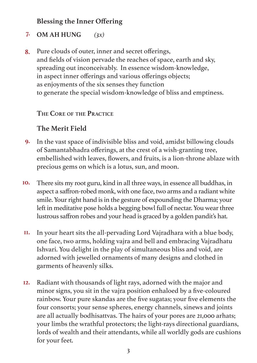## **Blessing the Inner Offering**

#### **OM AH HUNG** *(3x)* **7.**

Pure clouds of outer, inner and secret offerings, and fields of vision pervade the reaches of space, earth and sky, spreading out inconceivably. In essence wisdom-knowledge, in aspect inner offerings and various offerings objects; as enjoyments of the six senses they function to generate the special wisdom-knowledge of bliss and emptiness. **8.**

## **The Core of the Practice**

# **The Merit Field**

- In the vast space of indivisible bliss and void, amidst billowing clouds of Samantabhadra offerings, at the crest of a wish-granting tree, embellished with leaves, flowers, and fruits, is a lion-throne ablaze with precious gems on which is a lotus, sun, and moon. **9.**
- There sits my root guru, kind in all three ways, in essence all buddhas, in aspect a saffron-robed monk, with one face, two arms and a radiant white smile. Your right hand is in the gesture of expounding the Dharma; your left in meditative pose holds a begging bowl full of nectar. You wear three lustrous saffron robes and your head is graced by a golden pandit's hat. **10.**
- In your heart sits the all-pervading Lord Vajradhara with a blue body, one face, two arms, holding vajra and bell and embracing Vajradhatu Ishvari. You delight in the play of simultaneous bliss and void, are adorned with jewelled ornaments of many designs and clothed in garments of heavenly silks. **11.**
- Radiant with thousands of light rays, adorned with the major and minor signs, you sit in the vajra position enhaloed by a five-coloured rainbow. Your pure skandas are the five sugatas; your five elements the four consorts; your sense spheres, energy channels, sinews and joints are all actually bodhisattvas. The hairs of your pores are 21,000 arhats; your limbs the wrathful protectors; the light-rays directional guardians, lords of wealth and their attendants, while all worldly gods are cushions for your feet. **12.**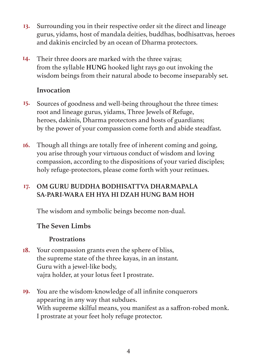- Surrounding you in their respective order sit the direct and lineage gurus, yidams, host of mandala deities, buddhas, bodhisattvas, heroes and dakinis encircled by an ocean of Dharma protectors. **13.**
- Their three doors are marked with the three vajras; from the syllable **HUNG** hooked light rays go out invoking the wisdom beings from their natural abode to become inseparably set. **14.**

## **Invocation**

- Sources of goodness and well-being throughout the three times: root and lineage gurus, yidams, Three Jewels of Refuge, heroes, dakinis, Dharma protectors and hosts of guardians; by the power of your compassion come forth and abide steadfast. **15.**
- Though all things are totally free of inherent coming and going, you arise through your virtuous conduct of wisdom and loving compassion, according to the dispositions of your varied disciples; holy refuge-protectors, please come forth with your retinues. **16.**

#### **OM GURU BUDDHA BODHISATTVA DHARMAPALA SA-PARI-WARA EH HYA HI DZAH HUNG BAM HOH 17.**

The wisdom and symbolic beings become non-dual.

# **The Seven Limbs**

## **Prostrations**

- Your compassion grants even the sphere of bliss, the supreme state of the three kayas, in an instant. Guru with a jewel-like body, vajra holder, at your lotus feet I prostrate. **18.**
- You are the wisdom-knowledge of all infinite conquerors appearing in any way that subdues. With supreme skilful means, you manifest as a saffron-robed monk. I prostrate at your feet holy refuge protector. **19.**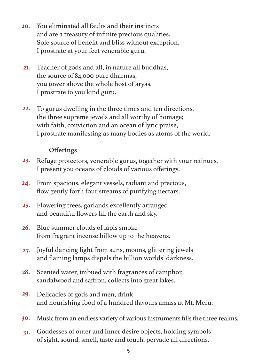- You eliminated all faults and their instincts and are a treasury of infinite precious qualities. Sole source of benefit and bliss without exception, I prostrate at your feet venerable guru. **20.**
- Teacher of gods and all, in nature all buddhas, the source of 84,000 pure dharmas, you tower above the whole host of aryas. I prostrate to you kind guru. **21.**
- To gurus dwelling in the three times and ten directions, the three supreme jewels and all worthy of homage; with faith, conviction and an ocean of lyric praise, I prostrate manifesting as many bodies as atoms of the world. **22.**

#### **Offerings**

- Refuge protectors, venerable gurus, together with your retinues, I present you oceans of clouds of various offerings. **23.**
- From spacious, elegant vessels, radiant and precious, flow gently forth four streams of purifying nectars. **24.**
- Flowering trees, garlands excellently arranged and beautiful flowers fill the earth and sky. **25.**
- Blue summer clouds of lapis smoke from fragrant incense billow up to the heavens. **26.**
- Joyful dancing light from suns, moons, glittering jewels and flaming lamps dispels the billion worlds' darkness. **27.**
- Scented water, imbued with fragrances of camphor, sandalwood and saffron, collects into great lakes. **28.**
- Delicacies of gods and men, drink and nourishing food of a hundred flavours amass at Mt. Meru. **29.**
- Music from an endless variety of various instruments fills the three realms. **30.**
- Goddesses of outer and inner desire objects, holding symbols of sight, sound, smell, taste and touch, pervade all directions. **31.**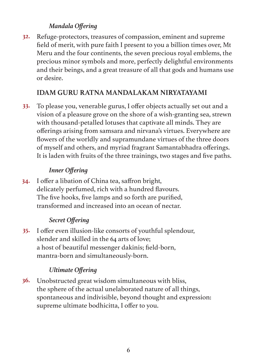#### *Mandala Offering*

Refuge-protectors, treasures of compassion, eminent and supreme field of merit, with pure faith I present to you a billion times over, Mt Meru and the four continents, the seven precious royal emblems, the precious minor symbols and more, perfectly delightful environments and their beings, and a great treasure of all that gods and humans use or desire. **32.**

#### **IDAM GURU RATNA MANDALAKAM NIRYATAYAMI**

To please you, venerable gurus, I offer objects actually set out and a vision of a pleasure grove on the shore of a wish-granting sea, strewn with thousand-petalled lotuses that captivate all minds. They are offerings arising from samsara and nirvana's virtues. Everywhere are flowers of the worldly and supramundane virtues of the three doors of myself and others, and myriad fragrant Samantabhadra offerings. It is laden with fruits of the three trainings, two stages and five paths. **33.**

#### *Inner Offering*

I offer a libation of China tea, saffron bright, delicately perfumed, rich with a hundred flavours. The five hooks, five lamps and so forth are purified, transformed and increased into an ocean of nectar. **34.**

#### *Secret Offering*

I offer even illusion-like consorts of youthful splendour, slender and skilled in the 64 arts of love; a host of beautiful messenger dakinis; field-born, mantra-born and simultaneously-born. **35.**

# *Ultimate Offering*

Unobstructed great wisdom simultaneous with bliss, the sphere of the actual unelaborated nature of all things, spontaneous and indivisible, beyond thought and expression: supreme ultimate bodhicitta, I offer to you. **36.**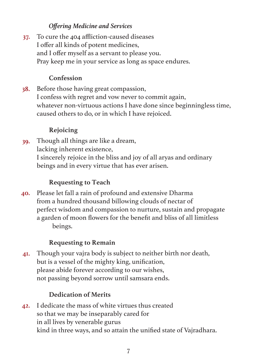#### *Offering Medicine and Services*

To cure the 404 affliction-caused diseases I offer all kinds of potent medicines, and I offer myself as a servant to please you. Pray keep me in your service as long as space endures. **37.**

#### **Confession**

Before those having great compassion, I confess with regret and vow never to commit again, whatever non-virtuous actions I have done since beginningless time, caused others to do, or in which I have rejoiced. **38.**

## **Rejoicing**

Though all things are like a dream, lacking inherent existence, I sincerely rejoice in the bliss and joy of all aryas and ordinary beings and in every virtue that has ever arisen. **39.**

#### **Requesting to Teach**

Please let fall a rain of profound and extensive Dharma from a hundred thousand billowing clouds of nectar of perfect wisdom and compassion to nurture, sustain and propagate a garden of moon flowers for the benefit and bliss of all limitless beings. **40.**

## **Requesting to Remain**

Though your vajra body is subject to neither birth nor death, but is a vessel of the mighty king, unification, please abide forever according to our wishes, not passing beyond sorrow until samsara ends. **41.**

## **Dedication of Merits**

I dedicate the mass of white virtues thus created so that we may be inseparably cared for in all lives by venerable gurus kind in three ways, and so attain the unified state of Vajradhara. **42.**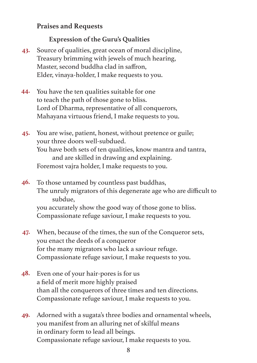## **Praises and Requests**

#### **Expression of the Guru's Qualities**

- Source of qualities, great ocean of moral discipline, Treasury brimming with jewels of much hearing, Master, second buddha clad in saffron, Elder, vinaya-holder, I make requests to you. **43.**
- You have the ten qualities suitable for one to teach the path of those gone to bliss. Lord of Dharma, representative of all conquerors, Mahayana virtuous friend, I make requests to you. **44.**
- You are wise, patient, honest, without pretence or guile; your three doors well-subdued. You have both sets of ten qualities, know mantra and tantra, and are skilled in drawing and explaining. Foremost vajra holder, I make requests to you. **45.**
- To those untamed by countless past buddhas, The unruly migrators of this degenerate age who are difficult to subdue, you accurately show the good way of those gone to bliss. Compassionate refuge saviour, I make requests to you. **46.**
- When, because of the times, the sun of the Conqueror sets, you enact the deeds of a conqueror for the many migrators who lack a saviour refuge. Compassionate refuge saviour, I make requests to you. **47.**
- Even one of your hair-pores is for us a field of merit more highly praised than all the conquerors of three times and ten directions. Compassionate refuge saviour, I make requests to you. **48.**
- Adorned with a sugata's three bodies and ornamental wheels, you manifest from an alluring net of skilful means in ordinary form to lead all beings. Compassionate refuge saviour, I make requests to you. **49.**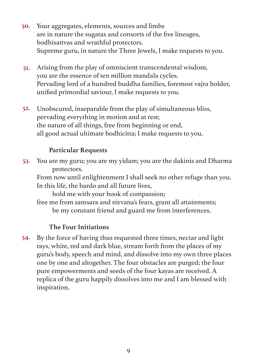- Your aggregates, elements, sources and limbs are in nature the sugatas and consorts of the five lineages, bodhisattvas and wrathful protectors. Supreme guru, in nature the Three Jewels, I make requests to you. **50.**
- Arising from the play of omniscient transcendental wisdom, you are the essence of ten million mandala cycles. Pervading lord of a hundred buddha families, foremost vajra holder, unified primordial saviour, I make requests to you. **51.**
- Unobscured, inseparable from the play of simultaneous bliss, pervading everything in motion and at rest; the nature of all things, free from beginning or end, all good actual ultimate bodhicitta; I make requests to you. **52.**

#### **Particular Requests**

You are my guru; you are my yidam; you are the dakinis and Dharma protectors. **53.**

From now until enlightenment I shall seek no other refuge than you. In this life, the bardo and all future lives,

hold me with your hook of compassion;

free me from samsara and nirvana's fears, grant all attainments; be my constant friend and guard me from interferences.

## **The Four Initiations**

By the force of having thus requested three times, nectar and light rays, white, red and dark blue, stream forth from the places of my guru's body, speech and mind, and dissolve into my own three places one by one and altogether. The four obstacles are purged; the four pure empowerments and seeds of the four kayas are received. A replica of the guru happily dissolves into me and I am blessed with inspiration. **54.**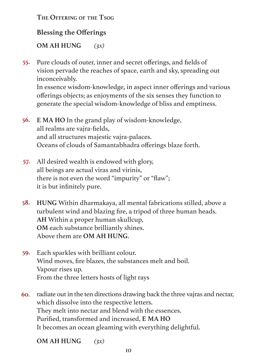**The Offering of the Tsog**

## **Blessing the Offerings**

**OM AH HUNG** *(3x)*

Pure clouds of outer, inner and secret offerings, and fields of vision pervade the reaches of space, earth and sky, spreading out inconceivably. **55.**

In essence wisdom-knowledge, in aspect inner offerings and various offerings objects; as enjoyments of the six senses they function to generate the special wisdom-knowledge of bliss and emptiness.

- **E MA HO** In the grand play of wisdom-knowledge, all realms are vajra-fields, and all structures majestic vajra-palaces. Oceans of clouds of Samantabhadra offerings blaze forth. **56.**
- All desired wealth is endowed with glory, all beings are actual viras and virinis, there is not even the word "impurity" or "flaw"; it is but infinitely pure. **57.**
- **HUNG** Within dharmakaya, all mental fabrications stilled, above a turbulent wind and blazing fire, a tripod of three human heads. **AH** Within a proper human skullcup, **OM** each substance brilliantly shines. Above them are **OM AH HUNG**. **58.**
- Each sparkles with brilliant colour. Wind moves, fire blazes, the substances melt and boil. Vapour rises up. From the three letters hosts of light rays **59.**
- radiate out in the ten directions drawing back the three vajras and nectar, which dissolve into the respective letters. They melt into nectar and blend with the essences. Purified, transformed and increased, **E MA HO** It becomes an ocean gleaming with everything delightful. **60.**

**OM AH HUNG** *(3x)*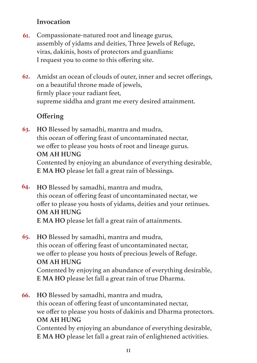## **Invocation**

- Compassionate-natured root and lineage gurus, assembly of yidams and deities, Three Jewels of Refuge, viras, dakinis, hosts of protectors and guardians: I request you to come to this offering site. **61.**
- Amidst an ocean of clouds of outer, inner and secret offerings, on a beautiful throne made of jewels, firmly place your radiant feet, supreme siddha and grant me every desired attainment. **62.**

## **Offering**

- **HO** Blessed by samadhi, mantra and mudra, **63.** this ocean of offering feast of uncontaminated nectar, we offer to please you hosts of root and lineage gurus. **OM AH HUNG** Contented by enjoying an abundance of everything desirable, **E MA HO** please let fall a great rain of blessings.
- **HO** Blessed by samadhi, mantra and mudra, **64.** this ocean of offering feast of uncontaminated nectar, we offer to please you hosts of yidams, deities and your retinues. **OM AH HUNG E MA HO** please let fall a great rain of attainments.
- **HO** Blessed by samadhi, mantra and mudra, this ocean of offering feast of uncontaminated nectar, we offer to please you hosts of precious Jewels of Refuge. **OM AH HUNG** Contented by enjoying an abundance of everything desirable, **E MA HO** please let fall a great rain of true Dharma. **65.**
- **HO** Blessed by samadhi, mantra and mudra, this ocean of offering feast of uncontaminated nectar, we offer to please you hosts of dakinis and Dharma protectors. **OM AH HUNG** Contented by enjoying an abundance of everything desirable, **E MA HO** please let fall a great rain of enlightened activities. **66.**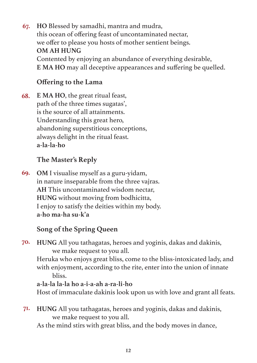**HO** Blessed by samadhi, mantra and mudra, **67.** this ocean of offering feast of uncontaminated nectar, we offer to please you hosts of mother sentient beings. **OM AH HUNG** Contented by enjoying an abundance of everything desirable, **E MA HO** may all deceptive appearances and suffering be quelled.

# **Offering to the Lama**

**E MA HO**, the great ritual feast, path of the three times sugatas', is the source of all attainments. Understanding this great hero, abandoning superstitious conceptions, always delight in the ritual feast. **a-la-la-ho 68.**

# **The Master's Reply**

**OM** I visualise myself as a guru-yidam, in nature inseparable from the three vajras. **AH** This uncontaminated wisdom nectar, **HUNG** without moving from bodhicitta, I enjoy to satisfy the deities within my body. **a-ho ma-ha su-k'a 69.**

# **Song of the Spring Queen**

**HUNG** All you tathagatas, heroes and yoginis, dakas and dakinis, we make request to you all. **70.**

Heruka who enjoys great bliss, come to the bliss-intoxicated lady, and with enjoyment, according to the rite, enter into the union of innate bliss.

# **a-la-la la-la ho a-i-a-ah a-ra-li-ho** Host of immaculate dakinis look upon us with love and grant all feats.

**HUNG** All you tathagatas, heroes and yoginis, dakas and dakinis, we make request to you all. **71.**

As the mind stirs with great bliss, and the body moves in dance,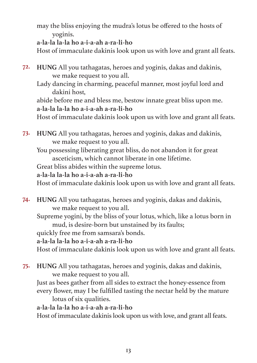may the bliss enjoying the mudra's lotus be offered to the hosts of yoginis.

#### **a-la-la la-la ho a-i-a-ah a-ra-li-ho**

Host of immaculate dakinis look upon us with love and grant all feats.

- **HUNG** All you tathagatas, heroes and yoginis, dakas and dakinis, we make request to you all. **72.**
	- Lady dancing in charming, peaceful manner, most joyful lord and dakini host,
	- abide before me and bless me, bestow innate great bliss upon me. **a-la-la la-la ho a-i-a-ah a-ra-li-ho**

Host of immaculate dakinis look upon us with love and grant all feats.

- **HUNG** All you tathagatas, heroes and yoginis, dakas and dakinis, we make request to you all. **73.**
	- You possessing liberating great bliss, do not abandon it for great asceticism, which cannot liberate in one lifetime.

Great bliss abides within the supreme lotus.

#### **a-la-la la-la ho a-i-a-ah a-ra-li-ho**

Host of immaculate dakinis look upon us with love and grant all feats.

- **HUNG** All you tathagatas, heroes and yoginis, dakas and dakinis, we make request to you all. **74.**
	- Supreme yogini, by the bliss of your lotus, which, like a lotus born in mud, is desire-born but unstained by its faults;

quickly free me from samsara's bonds.

#### **a-la-la la-la ho a-i-a-ah a-ra-li-ho**

Host of immaculate dakinis look upon us with love and grant all feats.

**HUNG** All you tathagatas, heroes and yoginis, dakas and dakinis, we make request to you all. **75.**

Just as bees gather from all sides to extract the honey-essence from every flower, may I be fulfilled tasting the nectar held by the mature lotus of six qualities.

**a-la-la la-la ho a-i-a-ah a-ra-li-ho**

Host of immaculate dakinis look upon us with love, and grant all feats.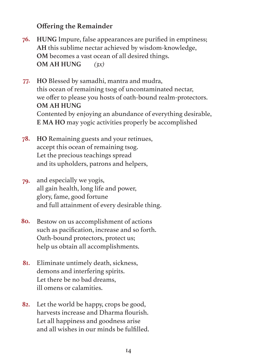#### **Offering the Remainder**

- **HUNG** Impure, false appearances are purified in emptiness; **AH** this sublime nectar achieved by wisdom-knowledge, **OM** becomes a vast ocean of all desired things. **OM AH HUNG** *(3x)* **76.**
- **HO** Blessed by samadhi, mantra and mudra, this ocean of remaining tsog of uncontaminated nectar, we offer to please you hosts of oath-bound realm-protectors. **OM AH HUNG** Contented by enjoying an abundance of everything desirable, **E MA HO** may yogic activities properly be accomplished **77.**
- **HO** Remaining guests and your retinues, accept this ocean of remaining tsog. Let the precious teachings spread and its upholders, patrons and helpers, **78.**
- and especially we yogis, all gain health, long life and power, glory, fame, good fortune and full attainment of every desirable thing. **79.**
- Bestow on us accomplishment of actions such as pacification, increase and so forth. Oath-bound protectors, protect us; help us obtain all accomplishments. **80.**
- Eliminate untimely death, sickness, demons and interfering spirits. Let there be no bad dreams, ill omens or calamities. **81.**
- Let the world be happy, crops be good, harvests increase and Dharma flourish. Let all happiness and goodness arise and all wishes in our minds be fulfilled. **82.**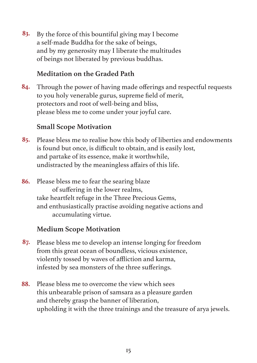By the force of this bountiful giving may I become **83.** a self-made Buddha for the sake of beings, and by my generosity may I liberate the multitudes of beings not liberated by previous buddhas.

# **Meditation on the Graded Path**

Through the power of having made offerings and respectful requests to you holy venerable gurus, supreme field of merit, protectors and root of well-being and bliss, please bless me to come under your joyful care. **84.**

# **Small Scope Motivation**

- Please bless me to realise how this body of liberties and endowments is found but once, is difficult to obtain, and is easily lost, and partake of its essence, make it worthwhile, undistracted by the meaningless affairs of this life. **85.**
- Please bless me to fear the searing blaze of suffering in the lower realms, take heartfelt refuge in the Three Precious Gems, and enthusiastically practise avoiding negative actions and accumulating virtue. **86.**

# **Medium Scope Motivation**

- Please bless me to develop an intense longing for freedom from this great ocean of boundless, vicious existence, violently tossed by waves of affliction and karma, infested by sea monsters of the three sufferings. **87.**
- Please bless me to overcome the view which sees this unbearable prison of samsara as a pleasure garden and thereby grasp the banner of liberation, upholding it with the three trainings and the treasure of arya jewels. **88.**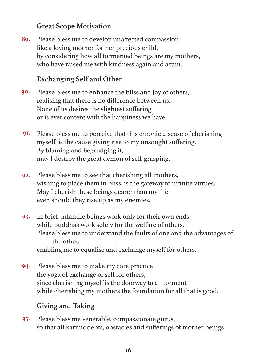## **Great Scope Motivation**

Please bless me to develop unaffected compassion like a loving mother for her precious child, by considering how all tormented beings are my mothers, who have raised me with kindness again and again. **89.**

# **Exchanging Self and Other**

- Please bless me to enhance the bliss and joy of others, realising that there is no difference between us. None of us desires the slightest suffering or is ever content with the happiness we have. **90.**
- Please bless me to perceive that this chronic disease of cherishing myself, is the cause giving rise to my unsought suffering. By blaming and begrudging it, may I destroy the great demon of self-grasping. **91.**
- Please bless me to see that cherishing all mothers, wishing to place them in bliss, is the gateway to infinite virtues. May I cherish these beings dearer than my life even should they rise up as my enemies. **92.**
- In brief, infantile beings work only for their own ends, while buddhas work solely for the welfare of others. Please bless me to understand the faults of one and the advantages of the other, enabling me to equalise and exchange myself for others. **93.**
- Please bless me to make my core practice the yoga of exchange of self for others, since cherishing myself is the doorway to all torment while cherishing my mothers the foundation for all that is good. **94.**

# **Giving and Taking**

Please bless me venerable, compassionate gurus, **95.**so that all karmic debts, obstacles and sufferings of mother beings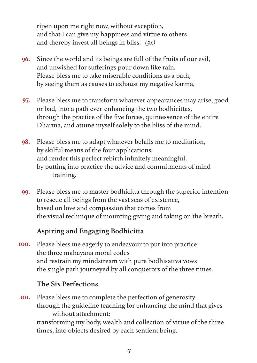ripen upon me right now, without exception, and that I can give my happiness and virtue to others and thereby invest all beings in bliss. *(3x)*

- Since the world and its beings are full of the fruits of our evil, and unwished for sufferings pour down like rain. Please bless me to take miserable conditions as a path, by seeing them as causes to exhaust my negative karma, **96.**
- Please bless me to transform whatever appearances may arise, good or bad, into a path ever-enhancing the two bodhicittas, through the practice of the five forces, quintessence of the entire Dharma, and attune myself solely to the bliss of the mind. **97.**
- Please bless me to adapt whatever befalls me to meditation, by skilful means of the four applications; and render this perfect rebirth infinitely meaningful, by putting into practice the advice and commitments of mind training. **98.**
- Please bless me to master bodhicitta through the superior intention to rescue all beings from the vast seas of existence, based on love and compassion that comes from the visual technique of mounting giving and taking on the breath. **99.**

# **Aspiring and Engaging Bodhicitta**

Please bless me eagerly to endeavour to put into practice the three mahayana moral codes and restrain my mindstream with pure bodhisattva vows the single path journeyed by all conquerors of the three times. **100.**

## **The Six Perfections**

Please bless me to complete the perfection of generosity through the guideline teaching for enhancing the mind that gives without attachment: transforming my body, wealth and collection of virtue of the three times, into objects desired by each sentient being. **101.**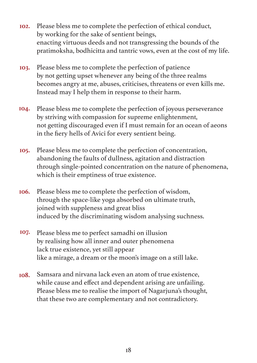- Please bless me to complete the perfection of ethical conduct, by working for the sake of sentient beings, enacting virtuous deeds and not transgressing the bounds of the pratimoksha, bodhicitta and tantric vows, even at the cost of my life. **102.**
- Please bless me to complete the perfection of patience by not getting upset whenever any being of the three realms becomes angry at me, abuses, criticises, threatens or even kills me. Instead may I help them in response to their harm. **103.**
- Please bless me to complete the perfection of joyous perseverance by striving with compassion for supreme enlightenment, not getting discouraged even if I must remain for an ocean of aeons in the fiery hells of Avici for every sentient being. **104.**
- Please bless me to complete the perfection of concentration, abandoning the faults of dullness, agitation and distraction through single-pointed concentration on the nature of phenomena, which is their emptiness of true existence. **105.**
- Please bless me to complete the perfection of wisdom, through the space-like yoga absorbed on ultimate truth, joined with suppleness and great bliss induced by the discriminating wisdom analysing suchness. **106.**
- Please bless me to perfect samadhi on illusion by realising how all inner and outer phenomena lack true existence, yet still appear like a mirage, a dream or the moon's image on a still lake. **107.**
- Samsara and nirvana lack even an atom of true existence, while cause and effect and dependent arising are unfailing. Please bless me to realise the import of Nagarjuna's thought, that these two are complementary and not contradictory. **108.**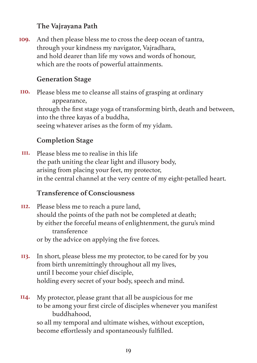## **The Vajrayana Path**

And then please bless me to cross the deep ocean of tantra, through your kindness my navigator, Vajradhara, and hold dearer than life my vows and words of honour, which are the roots of powerful attainments. **109.**

## **Generation Stage**

Please bless me to cleanse all stains of grasping at ordinary appearance, through the first stage yoga of transforming birth, death and between, into the three kayas of a buddha, seeing whatever arises as the form of my yidam. **110.**

# **Completion Stage**

Please bless me to realise in this life the path uniting the clear light and illusory body, arising from placing your feet, my protector, in the central channel at the very centre of my eight-petalled heart. **111.**

# **Transference of Consciousness**

- Please bless me to reach a pure land, should the points of the path not be completed at death; by either the forceful means of enlightenment, the guru's mind transference or by the advice on applying the five forces. **112.**
- In short, please bless me my protector, to be cared for by you from birth unremittingly throughout all my lives, until I become your chief disciple, holding every secret of your body, speech and mind. **113.**
- My protector, please grant that all be auspicious for me to be among your first circle of disciples whenever you manifest buddhahood, so all my temporal and ultimate wishes, without exception, become effortlessly and spontaneously fulfilled. **114.**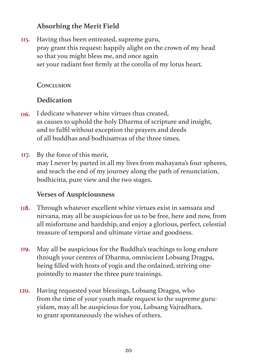# **Absorbing the Merit Field**

Having thus been entreated, supreme guru, pray grant this request: happily alight on the crown of my head so that you might bless me, and once again set your radiant feet firmly at the corolla of my lotus heart. **115.**

#### **Conclusion**

# **Dedication**

- I dedicate whatever white virtues thus created, as causes to uphold the holy Dharma of scripture and insight, and to fulfil without exception the prayers and deeds of all buddhas and bodhisattvas of the three times. **116.**
- By the force of this merit, may I never by parted in all my lives from mahayana's four spheres, and reach the end of my journey along the path of renunciation, bodhicitta, pure view and the two stages. **117.**

# **Verses of Auspiciousness**

- Through whatever excellent white virtues exist in samsara and nirvana, may all be auspicious for us to be free, here and now, from all misfortune and hardship, and enjoy a glorious, perfect, celestial treasure of temporal and ultimate virtue and goodness. **118.**
- May all be auspicious for the Buddha's teachings to long endure through your centres of Dharma, omniscient Lobsang Dragpa, being filled with hosts of yogis and the ordained, striving onepointedly to master the three pure trainings. **119.**
- Having requested your blessings, Lobsang Dragpa, who from the time of your youth made request to the supreme guruyidam, may all be auspicious for you, Lobsang Vajradhara, to grant spontaneously the wishes of others. **120.**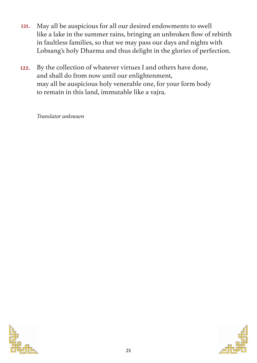- May all be auspicious for all our desired endowments to swell like a lake in the summer rains, bringing an unbroken flow of rebirth in faultless families, so that we may pass our days and nights with Lobsang's holy Dharma and thus delight in the glories of perfection. **121.**
- By the collection of whatever virtues I and others have done, and shall do from now until our enlightenment, may all be auspicious holy venerable one, for your form body to remain in this land, immutable like a vajra. **122.**

*Translator unknown*